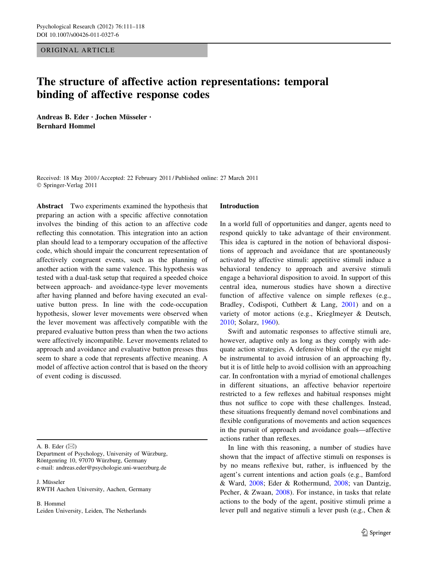ORIGINAL ARTICLE

# The structure of affective action representations: temporal binding of affective response codes

Andreas B. Eder · Jochen Müsseler · Bernhard Hommel

Received: 18 May 2010 / Accepted: 22 February 2011 / Published online: 27 March 2011 © Springer-Verlag 2011

Abstract Two experiments examined the hypothesis that preparing an action with a specific affective connotation involves the binding of this action to an affective code reflecting this connotation. This integration into an action plan should lead to a temporary occupation of the affective code, which should impair the concurrent representation of affectively congruent events, such as the planning of another action with the same valence. This hypothesis was tested with a dual-task setup that required a speeded choice between approach- and avoidance-type lever movements after having planned and before having executed an evaluative button press. In line with the code-occupation hypothesis, slower lever movements were observed when the lever movement was affectively compatible with the prepared evaluative button press than when the two actions were affectively incompatible. Lever movements related to approach and avoidance and evaluative button presses thus seem to share a code that represents affective meaning. A model of affective action control that is based on the theory of event coding is discussed.

A. B. Eder  $(\boxtimes)$ 

Department of Psychology, University of Würzburg, Röntgenring 10, 97070 Würzburg, Germany e-mail: andreas.eder@psychologie.uni-wuerzburg.de

J. Müsseler RWTH Aachen University, Aachen, Germany

B. Hommel Leiden University, Leiden, The Netherlands

## Introduction

In a world full of opportunities and danger, agents need to respond quickly to take advantage of their environment. This idea is captured in the notion of behavioral dispositions of approach and avoidance that are spontaneously activated by affective stimuli: appetitive stimuli induce a behavioral tendency to approach and aversive stimuli engage a behavioral disposition to avoid. In support of this central idea, numerous studies have shown a directive function of affective valence on simple reflexes (e.g., Bradley, Codispoti, Cuthbert & Lang, [2001](#page-7-0)) and on a variety of motor actions (e.g., Krieglmeyer & Deutsch, 2010; Solarz, [1960\)](#page-7-0).

Swift and automatic responses to affective stimuli are, however, adaptive only as long as they comply with adequate action strategies. A defensive blink of the eye might be instrumental to avoid intrusion of an approaching fly, but it is of little help to avoid collision with an approaching car. In confrontation with a myriad of emotional challenges in different situations, an affective behavior repertoire restricted to a few reflexes and habitual responses might thus not suffice to cope with these challenges. Instead, these situations frequently demand novel combinations and flexible configurations of movements and action sequences in the pursuit of approach and avoidance goals—affective actions rather than reflexes.

In line with this reasoning, a number of studies have shown that the impact of affective stimuli on responses is by no means reflexive but, rather, is influenced by the agent's current intentions and action goals (e.g., Bamford & Ward, [2008;](#page-7-0) Eder & Rothermund, [2008;](#page-7-0) van Dantzig, Pecher, & Zwaan, [2008\)](#page-7-0). For instance, in tasks that relate actions to the body of the agent, positive stimuli prime a lever pull and negative stimuli a lever push (e.g., Chen &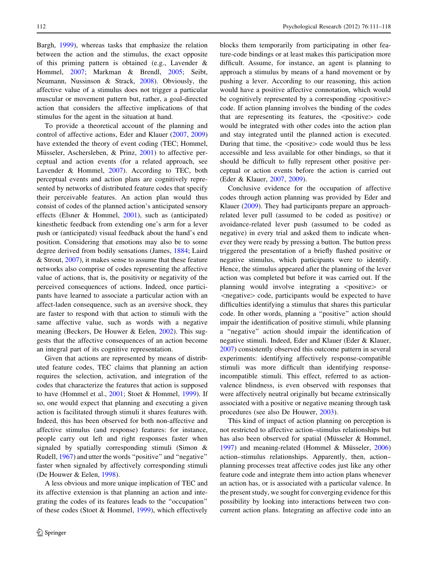Bargh, [1999\)](#page-7-0), whereas tasks that emphasize the relation between the action and the stimulus, the exact opposite of this priming pattern is obtained (e.g., Lavender & Hommel, [2007;](#page-7-0) Markman & Brendl, [2005;](#page-7-0) Seibt, Neumann, Nussinson & Strack, [2008\)](#page-7-0). Obviously, the affective value of a stimulus does not trigger a particular muscular or movement pattern but, rather, a goal-directed action that considers the affective implications of that stimulus for the agent in the situation at hand.

To provide a theoretical account of the planning and control of affective actions, Eder and Klauer [\(2007](#page-7-0), [2009\)](#page-7-0) have extended the theory of event coding (TEC; Hommel, Müsseler, Aschersleben, & Prinz, [2001](#page-7-0)) to affective perceptual and action events (for a related approach, see Lavender & Hommel, [2007](#page-7-0)). According to TEC, both perceptual events and action plans are cognitively represented by networks of distributed feature codes that specify their perceivable features. An action plan would thus consist of codes of the planned action's anticipated sensory effects (Elsner & Hommel, [2001](#page-7-0)), such as (anticipated) kinesthetic feedback from extending one's arm for a lever push or (anticipated) visual feedback about the hand's end position. Considering that emotions may also be to some degree derived from bodily sensations (James, [1884;](#page-7-0) Laird & Strout, [2007](#page-7-0)), it makes sense to assume that these feature networks also comprise of codes representing the affective value of actions, that is, the positivity or negativity of the perceived consequences of actions. Indeed, once participants have learned to associate a particular action with an affect-laden consequence, such as an aversive shock, they are faster to respond with that action to stimuli with the same affective value, such as words with a negative meaning (Beckers, De Houwer & Eelen, [2002](#page-7-0)). This suggests that the affective consequences of an action become an integral part of its cognitive representation.

Given that actions are represented by means of distributed feature codes, TEC claims that planning an action requires the selection, activation, and integration of the codes that characterize the features that action is supposed to have (Hommel et al., [2001;](#page-7-0) Stoet & Hommel, [1999](#page-7-0)). If so, one would expect that planning and executing a given action is facilitated through stimuli it shares features with. Indeed, this has been observed for both non-affective and affective stimulus (and response) features: for instance, people carry out left and right responses faster when signaled by spatially corresponding stimuli (Simon & Rudell, [1967\)](#page-7-0) and utter the words ''positive'' and ''negative'' faster when signaled by affectively corresponding stimuli (De Houwer & Eelen, [1998](#page-7-0)).

A less obvious and more unique implication of TEC and its affective extension is that planning an action and integrating the codes of its features leads to the ''occupation'' of these codes (Stoet & Hommel, [1999\)](#page-7-0), which effectively blocks them temporarily from participating in other feature-code bindings or at least makes this participation more difficult. Assume, for instance, an agent is planning to approach a stimulus by means of a hand movement or by pushing a lever. According to our reasoning, this action would have a positive affective connotation, which would be cognitively represented by a corresponding  $\langle$  positive $\rangle$ code. If action planning involves the binding of the codes that are representing its features, the  $\langle$  positive $\rangle$  code would be integrated with other codes into the action plan and stay integrated until the planned action is executed. During that time, the  $\langle$  positive $\rangle$  code would thus be less accessible and less available for other bindings, so that it should be difficult to fully represent other positive perceptual or action events before the action is carried out (Eder & Klauer, [2007,](#page-7-0) [2009\)](#page-7-0).

Conclusive evidence for the occupation of affective codes through action planning was provided by Eder and Klauer ([2009\)](#page-7-0). They had participants prepare an approachrelated lever pull (assumed to be coded as positive) or avoidance-related lever push (assumed to be coded as negative) in every trial and asked them to indicate whenever they were ready by pressing a button. The button press triggered the presentation of a briefly flashed positive or negative stimulus, which participants were to identify. Hence, the stimulus appeared after the planning of the lever action was completed but before it was carried out. If the planning would involve integrating a  $\langle$  positive $\rangle$  or  $\alpha$  code, participants would be expected to have difficulties identifying a stimulus that shares this particular code. In other words, planning a ''positive'' action should impair the identification of positive stimuli, while planning a ''negative'' action should impair the identification of negative stimuli. Indeed, Eder and Klauer (Eder & Klauer, [2007](#page-7-0)) consistently observed this outcome pattern in several experiments: identifying affectively response-compatible stimuli was more difficult than identifying responseincompatible stimuli. This effect, referred to as actionvalence blindness, is even observed with responses that were affectively neutral originally but became extrinsically associated with a positive or negative meaning through task procedures (see also De Houwer, [2003](#page-7-0)).

This kind of impact of action planning on perception is not restricted to affective action–stimulus relationships but has also been observed for spatial (Müsseler  $&$  Hommel, [1997](#page-7-0)) and meaning-related (Hommel & Müsseler,  $2006$ ) action–stimulus relationships. Apparently, then, action– planning processes treat affective codes just like any other feature code and integrate them into action plans whenever an action has, or is associated with a particular valence. In the present study, we sought for converging evidence for this possibility by looking into interactions between two concurrent action plans. Integrating an affective code into an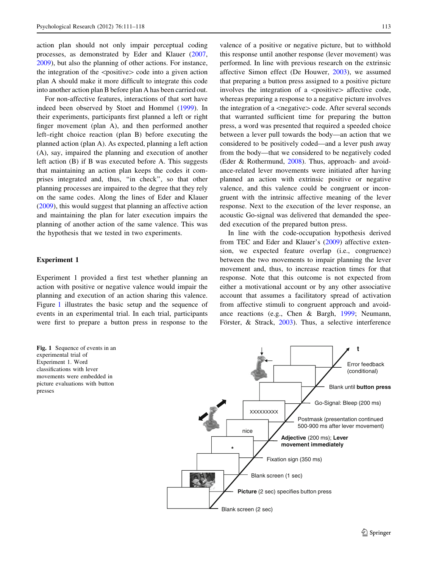<span id="page-2-0"></span>action plan should not only impair perceptual coding processes, as demonstrated by Eder and Klauer ([2007,](#page-7-0) [2009\)](#page-7-0), but also the planning of other actions. For instance, the integration of the  $\langle$ positive $\rangle$  code into a given action plan A should make it more difficult to integrate this code into another action plan B before plan A has been carried out.

For non-affective features, interactions of that sort have indeed been observed by Stoet and Hommel [\(1999](#page-7-0)). In their experiments, participants first planned a left or right finger movement (plan A), and then performed another left–right choice reaction (plan B) before executing the planned action (plan A). As expected, planning a left action (A), say, impaired the planning and execution of another left action (B) if B was executed before A. This suggests that maintaining an action plan keeps the codes it comprises integrated and, thus, ''in check'', so that other planning processes are impaired to the degree that they rely on the same codes. Along the lines of Eder and Klauer [\(2009](#page-7-0)), this would suggest that planning an affective action and maintaining the plan for later execution impairs the planning of another action of the same valence. This was the hypothesis that we tested in two experiments.

# Experiment 1

Experiment 1 provided a first test whether planning an action with positive or negative valence would impair the planning and execution of an action sharing this valence. Figure 1 illustrates the basic setup and the sequence of events in an experimental trial. In each trial, participants were first to prepare a button press in response to the

Fig. 1 Sequence of events in an experimental trial of Experiment 1. Word classifications with lever movements were embedded in picture evaluations with button presses

valence of a positive or negative picture, but to withhold this response until another response (lever movement) was performed. In line with previous research on the extrinsic affective Simon effect (De Houwer, [2003](#page-7-0)), we assumed that preparing a button press assigned to a positive picture involves the integration of a  $\langle$  positive $\rangle$  affective code, whereas preparing a response to a negative picture involves the integration of a  $\langle$ negative $\rangle$  code. After several seconds that warranted sufficient time for preparing the button press, a word was presented that required a speeded choice between a lever pull towards the body—an action that we considered to be positively coded—and a lever push away from the body—that we considered to be negatively coded (Eder & Rothermund, [2008](#page-7-0)). Thus, approach- and avoidance-related lever movements were initiated after having planned an action with extrinsic positive or negative valence, and this valence could be congruent or incongruent with the intrinsic affective meaning of the lever response. Next to the execution of the lever response, an acoustic Go-signal was delivered that demanded the speeded execution of the prepared button press.

In line with the code-occupation hypothesis derived from TEC and Eder and Klauer's [\(2009](#page-7-0)) affective extension, we expected feature overlap (i.e., congruence) between the two movements to impair planning the lever movement and, thus, to increase reaction times for that response. Note that this outcome is not expected from either a motivational account or by any other associative account that assumes a facilitatory spread of activation from affective stimuli to congruent approach and avoidance reactions (e.g., Chen & Bargh, [1999;](#page-7-0) Neumann, Förster, & Strack, [2003](#page-7-0)). Thus, a selective interference

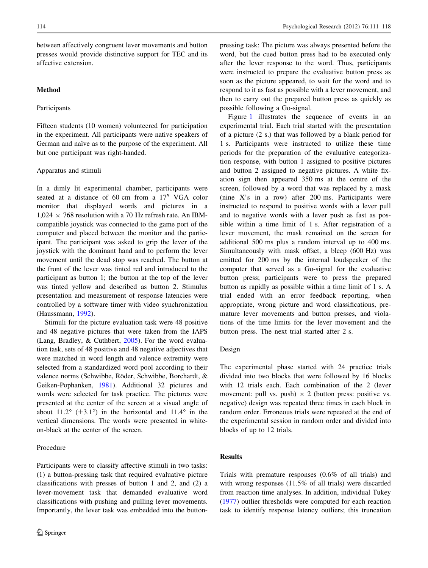between affectively congruent lever movements and button presses would provide distinctive support for TEC and its affective extension.

# Method

# Participants

Fifteen students (10 women) volunteered for participation in the experiment. All participants were native speakers of German and naïve as to the purpose of the experiment. All but one participant was right-handed.

## Apparatus and stimuli

In a dimly lit experimental chamber, participants were seated at a distance of  $60 \text{ cm}$  from a  $17^{\prime\prime}$  VGA color monitor that displayed words and pictures in a  $1,024 \times 768$  resolution with a 70 Hz refresh rate. An IBMcompatible joystick was connected to the game port of the computer and placed between the monitor and the participant. The participant was asked to grip the lever of the joystick with the dominant hand and to perform the lever movement until the dead stop was reached. The button at the front of the lever was tinted red and introduced to the participant as button 1; the button at the top of the lever was tinted yellow and described as button 2. Stimulus presentation and measurement of response latencies were controlled by a software timer with video synchronization (Haussmann, [1992\)](#page-7-0).

Stimuli for the picture evaluation task were 48 positive and 48 negative pictures that were taken from the IAPS (Lang, Bradley, & Cuthbert, [2005](#page-7-0)). For the word evaluation task, sets of 48 positive and 48 negative adjectives that were matched in word length and valence extremity were selected from a standardized word pool according to their valence norms (Schwibbe, Röder, Schwibbe, Borchardt, & Geiken-Pophanken, [1981\)](#page-7-0). Additional 32 pictures and words were selected for task practice. The pictures were presented at the center of the screen at a visual angle of about 11.2°  $(\pm 3.1^{\circ})$  in the horizontal and 11.4° in the vertical dimensions. The words were presented in whiteon-black at the center of the screen.

# Procedure

Participants were to classify affective stimuli in two tasks: (1) a button-pressing task that required evaluative picture classifications with presses of button 1 and 2, and (2) a lever-movement task that demanded evaluative word classifications with pushing and pulling lever movements. Importantly, the lever task was embedded into the buttonpressing task: The picture was always presented before the word, but the cued button press had to be executed only after the lever response to the word. Thus, participants were instructed to prepare the evaluative button press as soon as the picture appeared, to wait for the word and to respond to it as fast as possible with a lever movement, and then to carry out the prepared button press as quickly as possible following a Go-signal.

Figure [1](#page-2-0) illustrates the sequence of events in an experimental trial. Each trial started with the presentation of a picture (2 s.) that was followed by a blank period for 1 s. Participants were instructed to utilize these time periods for the preparation of the evaluative categorization response, with button 1 assigned to positive pictures and button 2 assigned to negative pictures. A white fixation sign then appeared 350 ms at the centre of the screen, followed by a word that was replaced by a mask (nine X's in a row) after 200 ms. Participants were instructed to respond to positive words with a lever pull and to negative words with a lever push as fast as possible within a time limit of 1 s. After registration of a lever movement, the mask remained on the screen for additional 500 ms plus a random interval up to 400 ms. Simultaneously with mask offset, a bleep (600 Hz) was emitted for 200 ms by the internal loudspeaker of the computer that served as a Go-signal for the evaluative button press; participants were to press the prepared button as rapidly as possible within a time limit of 1 s. A trial ended with an error feedback reporting, when appropriate, wrong picture and word classifications, premature lever movements and button presses, and violations of the time limits for the lever movement and the button press. The next trial started after 2 s.

## Design

The experimental phase started with 24 practice trials divided into two blocks that were followed by 16 blocks with 12 trials each. Each combination of the 2 (lever movement: pull vs. push)  $\times$  2 (button press: positive vs. negative) design was repeated three times in each block in random order. Erroneous trials were repeated at the end of the experimental session in random order and divided into blocks of up to 12 trials.

# Results

Trials with premature responses (0.6% of all trials) and with wrong responses (11.5% of all trials) were discarded from reaction time analyses. In addition, individual Tukey [\(1977](#page-7-0)) outlier thresholds were computed for each reaction task to identify response latency outliers; this truncation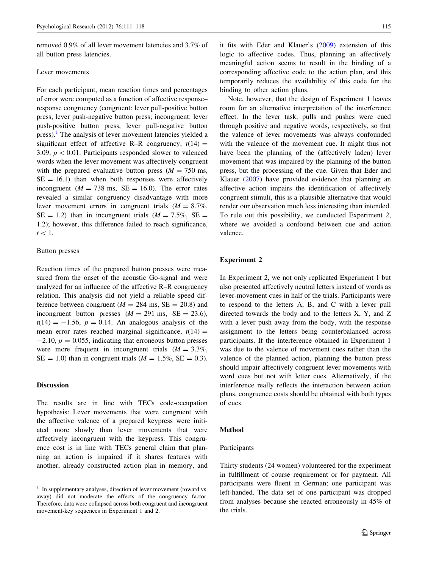removed 0.9% of all lever movement latencies and 3.7% of all button press latencies.

## Lever movements

For each participant, mean reaction times and percentages of error were computed as a function of affective response– response congruency (congruent: lever pull-positive button press, lever push-negative button press; incongruent: lever push-positive button press, lever pull-negative button press).<sup>1</sup> The analysis of lever movement latencies yielded a significant effect of affective R–R congruency,  $t(14)$  = 3.09,  $p < 0.01$ . Participants responded slower to valenced words when the lever movement was affectively congruent with the prepared evaluative button press ( $M = 750$  ms,  $SE = 16.1$ ) than when both responses were affectively incongruent ( $M = 738$  ms,  $SE = 16.0$ ). The error rates revealed a similar congruency disadvantage with more lever movement errors in congruent trials  $(M = 8.7\%$ ,  $SE = 1.2$ ) than in incongruent trials  $(M = 7.5\%$ ,  $SE =$ 1.2); however, this difference failed to reach significance,  $t<1$ .

## Button presses

Reaction times of the prepared button presses were measured from the onset of the acoustic Go-signal and were analyzed for an influence of the affective R–R congruency relation. This analysis did not yield a reliable speed difference between congruent ( $M = 284$  ms,  $SE = 20.8$ ) and incongruent button presses  $(M = 291 \text{ ms}, \text{SE} = 23.6)$ ,  $t(14) = -1.56$ ,  $p = 0.14$ . An analogous analysis of the mean error rates reached marginal significance,  $t(14)$  =  $-2.10$ ,  $p = 0.055$ , indicating that erroneous button presses were more frequent in incongruent trials  $(M = 3.3\%$ ,  $SE = 1.0$ ) than in congruent trials ( $M = 1.5\%$ ,  $SE = 0.3$ ).

# **Discussion**

The results are in line with TECs code-occupation hypothesis: Lever movements that were congruent with the affective valence of a prepared keypress were initiated more slowly than lever movements that were affectively incongruent with the keypress. This congruence cost is in line with TECs general claim that planning an action is impaired if it shares features with another, already constructed action plan in memory, and it fits with Eder and Klauer's [\(2009](#page-7-0)) extension of this logic to affective codes. Thus, planning an affectively meaningful action seems to result in the binding of a corresponding affective code to the action plan, and this temporarily reduces the availability of this code for the binding to other action plans.

Note, however, that the design of Experiment 1 leaves room for an alternative interpretation of the interference effect. In the lever task, pulls and pushes were cued through positive and negative words, respectively, so that the valence of lever movements was always confounded with the valence of the movement cue. It might thus not have been the planning of the (affectively laden) lever movement that was impaired by the planning of the button press, but the processing of the cue. Given that Eder and Klauer ([2007\)](#page-7-0) have provided evidence that planning an affective action impairs the identification of affectively congruent stimuli, this is a plausible alternative that would render our observation much less interesting than intended. To rule out this possibility, we conducted Experiment 2, where we avoided a confound between cue and action valence.

# Experiment 2

In Experiment 2, we not only replicated Experiment 1 but also presented affectively neutral letters instead of words as lever-movement cues in half of the trials. Participants were to respond to the letters A, B, and C with a lever pull directed towards the body and to the letters X, Y, and Z with a lever push away from the body, with the response assignment to the letters being counterbalanced across participants. If the interference obtained in Experiment 1 was due to the valence of movement cues rather than the valence of the planned action, planning the button press should impair affectively congruent lever movements with word cues but not with letter cues. Alternatively, if the interference really reflects the interaction between action plans, congruence costs should be obtained with both types of cues.

## Method

## Participants

Thirty students (24 women) volunteered for the experiment in fulfillment of course requirement or for payment. All participants were fluent in German; one participant was left-handed. The data set of one participant was dropped from analyses because she reacted erroneously in 45% of the trials.

<sup>&</sup>lt;sup>1</sup> In supplementary analyses, direction of lever movement (toward vs. away) did not moderate the effects of the congruency factor. Therefore, data were collapsed across both congruent and incongruent movement-key sequences in Experiment 1 and 2.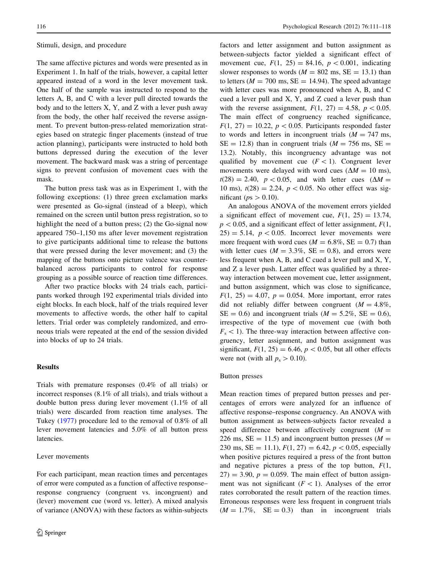#### Stimuli, design, and procedure

The same affective pictures and words were presented as in Experiment 1. In half of the trials, however, a capital letter appeared instead of a word in the lever movement task. One half of the sample was instructed to respond to the letters A, B, and C with a lever pull directed towards the body and to the letters  $X$ ,  $Y$ , and  $Z$  with a lever push away from the body, the other half received the reverse assignment. To prevent button-press-related memorization strategies based on strategic finger placements (instead of true action planning), participants were instructed to hold both buttons depressed during the execution of the lever movement. The backward mask was a string of percentage signs to prevent confusion of movement cues with the mask.

The button press task was as in Experiment 1, with the following exceptions: (1) three green exclamation marks were presented as Go-signal (instead of a bleep), which remained on the screen until button press registration, so to highlight the need of a button press; (2) the Go-signal now appeared 750–1,150 ms after lever movement registration to give participants additional time to release the buttons that were pressed during the lever movement; and (3) the mapping of the buttons onto picture valence was counterbalanced across participants to control for response grouping as a possible source of reaction time differences.

After two practice blocks with 24 trials each, participants worked through 192 experimental trials divided into eight blocks. In each block, half of the trials required lever movements to affective words, the other half to capital letters. Trial order was completely randomized, and erroneous trials were repeated at the end of the session divided into blocks of up to 24 trials.

# **Results**

Trials with premature responses (0.4% of all trials) or incorrect responses (8.1% of all trials), and trials without a double button press during lever movement (1.1% of all trials) were discarded from reaction time analyses. The Tukey [\(1977](#page-7-0)) procedure led to the removal of 0.8% of all lever movement latencies and 5.0% of all button press latencies.

### Lever movements

For each participant, mean reaction times and percentages of error were computed as a function of affective response– response congruency (congruent vs. incongruent) and (lever) movement cue (word vs. letter). A mixed analysis of variance (ANOVA) with these factors as within-subjects factors and letter assignment and button assignment as between-subjects factor yielded a significant effect of movement cue,  $F(1, 25) = 84.16$ ,  $p < 0.001$ , indicating slower responses to words ( $M = 802$  ms,  $SE = 13.1$ ) than to letters ( $M = 700$  ms,  $SE = 14.94$ ). The speed advantage with letter cues was more pronounced when A, B, and C cued a lever pull and X, Y, and Z cued a lever push than with the reverse assignment,  $F(1, 27) = 4.58$ ,  $p < 0.05$ . The main effect of congruency reached significance,  $F(1, 27) = 10.22$ ,  $p < 0.05$ . Participants responded faster to words and letters in incongruent trials  $(M = 747 \text{ ms})$ ,  $SE = 12.8$ ) than in congruent trials ( $M = 756$  ms,  $SE =$ 13.2). Notably, this incongruency advantage was not qualified by movement cue  $(F<1)$ . Congruent lever movements were delayed with word cues ( $\Delta M = 10$  ms),  $t(28) = 2.40$ ,  $p < 0.05$ , and with letter cues ( $\Delta M =$ 10 ms),  $t(28) = 2.24$ ,  $p < 0.05$ . No other effect was significant ( $ps > 0.10$ ).

An analogous ANOVA of the movement errors yielded a significant effect of movement cue,  $F(1, 25) = 13.74$ ,  $p<0.05$ , and a significant effect of letter assignment,  $F(1,$  $25$ ) = 5.14,  $p < 0.05$ . Incorrect lever movements were more frequent with word cues ( $M = 6.8\%$ , SE = 0.7) than with letter cues ( $M = 3.3\%$ , SE = 0.8), and errors were less frequent when A, B, and C cued a lever pull and X, Y, and Z a lever push. Latter effect was qualified by a threeway interaction between movement cue, letter assignment, and button assignment, which was close to significance,  $F(1, 25) = 4.07, p = 0.054$ . More important, error rates did not reliably differ between congruent  $(M = 4.8\%$ ,  $SE = 0.6$ ) and incongruent trials ( $M = 5.2\%$ ,  $SE = 0.6$ ), irrespective of the type of movement cue (with both  $F<sub>s</sub>$  < 1). The three-way interaction between affective congruency, letter assignment, and button assignment was significant,  $F(1, 25) = 6.46$ ,  $p < 0.05$ , but all other effects were not (with all  $p_s > 0.10$ ).

## Button presses

Mean reaction times of prepared button presses and percentages of errors were analyzed for an influence of affective response–response congruency. An ANOVA with button assignment as between-subjects factor revealed a speed difference between affectively congruent  $(M =$ 226 ms,  $SE = 11.5$ ) and incongruent button presses ( $M =$ 230 ms, SE = 11.1),  $F(1, 27) = 6.42$ ,  $p < 0.05$ , especially when positive pictures required a press of the front button and negative pictures a press of the top button,  $F(1, 1)$  $27) = 3.90, p = 0.059$ . The main effect of button assignment was not significant  $(F<1)$ . Analyses of the error rates corroborated the result pattern of the reaction times. Erroneous responses were less frequent in congruent trials  $(M = 1.7\%, \text{SE} = 0.3)$  than in incongruent trials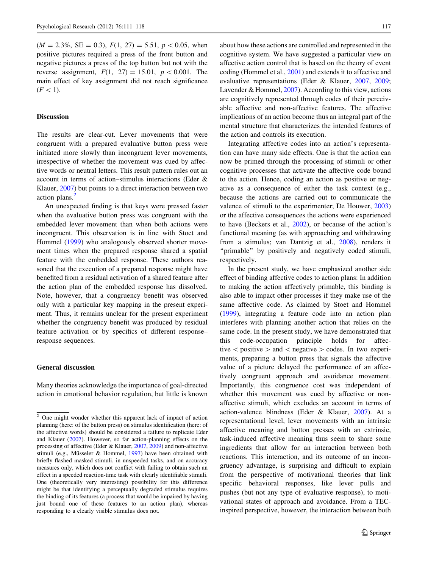$(M = 2.3\%, \text{ SE} = 0.3), F(1, 27) = 5.51, p < 0.05, \text{ when}$ positive pictures required a press of the front button and negative pictures a press of the top button but not with the reverse assignment,  $F(1, 27) = 15.01$ ,  $p < 0.001$ . The main effect of key assignment did not reach significance  $(F<1)$ .

# Discussion

The results are clear-cut. Lever movements that were congruent with a prepared evaluative button press were initiated more slowly than incongruent lever movements, irrespective of whether the movement was cued by affective words or neutral letters. This result pattern rules out an account in terms of action–stimulus interactions (Eder & Klauer, [2007](#page-7-0)) but points to a direct interaction between two action plans.<sup>2</sup>

An unexpected finding is that keys were pressed faster when the evaluative button press was congruent with the embedded lever movement than when both actions were incongruent. This observation is in line with Stoet and Hommel ([1999\)](#page-7-0) who analogously observed shorter movement times when the prepared response shared a spatial feature with the embedded response. These authors reasoned that the execution of a prepared response might have benefited from a residual activation of a shared feature after the action plan of the embedded response has dissolved. Note, however, that a congruency benefit was observed only with a particular key mapping in the present experiment. Thus, it remains unclear for the present experiment whether the congruency benefit was produced by residual feature activation or by specifics of different response– response sequences.

# General discussion

Many theories acknowledge the importance of goal-directed action in emotional behavior regulation, but little is known about how these actions are controlled and represented in the cognitive system. We have suggested a particular view on affective action control that is based on the theory of event coding (Hommel et al., [2001\)](#page-7-0) and extends it to affective and evaluative representations (Eder & Klauer, [2007,](#page-7-0) [2009](#page-7-0); Lavender & Hommel, [2007\)](#page-7-0). According to this view, actions are cognitively represented through codes of their perceivable affective and non-affective features. The affective implications of an action become thus an integral part of the mental structure that characterizes the intended features of the action and controls its execution.

Integrating affective codes into an action's representation can have many side effects. One is that the action can now be primed through the processing of stimuli or other cognitive processes that activate the affective code bound to the action. Hence, coding an action as positive or negative as a consequence of either the task context (e.g., because the actions are carried out to communicate the valence of stimuli to the experimenter; De Houwer, [2003\)](#page-7-0) or the affective consequences the actions were experienced to have (Beckers et al., [2002](#page-7-0)), or because of the action's functional meaning (as with approaching and withdrawing from a stimulus; van Dantzig et al., [2008](#page-7-0)), renders it "primable" by positively and negatively coded stimuli, respectively.

In the present study, we have emphasized another side effect of binding affective codes to action plans: In addition to making the action affectively primable, this binding is also able to impact other processes if they make use of the same affective code. As claimed by Stoet and Hommel [\(1999](#page-7-0)), integrating a feature code into an action plan interferes with planning another action that relies on the same code. In the present study, we have demonstrated that this code-occupation principle holds for affective  $\langle$  positive  $\rangle$  and  $\langle$  negative  $\rangle$  codes. In two experiments, preparing a button press that signals the affective value of a picture delayed the performance of an affectively congruent approach and avoidance movement. Importantly, this congruence cost was independent of whether this movement was cued by affective or nonaffective stimuli, which excludes an account in terms of action-valence blindness (Eder & Klauer, [2007](#page-7-0)). At a representational level, lever movements with an intrinsic affective meaning and button presses with an extrinsic, task-induced affective meaning thus seem to share some ingredients that allow for an interaction between both reactions. This interaction, and its outcome of an incongruency advantage, is surprising and difficult to explain from the perspective of motivational theories that link specific behavioral responses, like lever pulls and pushes (but not any type of evaluative response), to motivational states of approach and avoidance. From a TECinspired perspective, however, the interaction between both

<sup>2</sup> One might wonder whether this apparent lack of impact of action planning (here: of the button press) on stimulus identification (here: of the affective words) should be considered a failure to replicate Eder and Klauer ([2007](#page-7-0)). However, so far action-planning effects on the processing of affective (Eder & Klauer, [2007,](#page-7-0) [2009\)](#page-7-0) and non-affective stimuli (e.g., Müsseler & Hommel,  $1997$ ) have been obtained with briefly flashed masked stimuli, in unspeeded tasks, and on accuracy measures only, which does not conflict with failing to obtain such an effect in a speeded reaction-time task with clearly identifiable stimuli. One (theoretically very interesting) possibility for this difference might be that identifying a perceptually degraded stimulus requires the binding of its features (a process that would be impaired by having just bound one of these features to an action plan), whereas responding to a clearly visible stimulus does not.